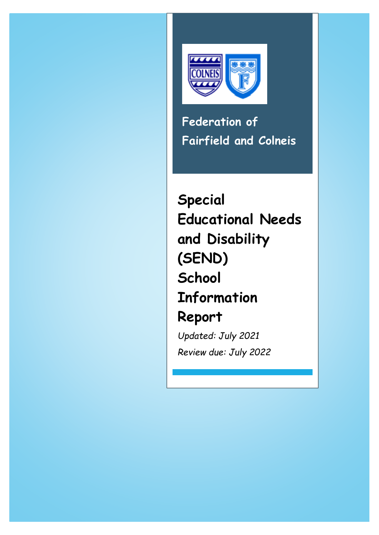

**Federation of Fairfield and Colneis**

**Special Educational Needs and Disability (SEND) School Information Report**

*Updated: July 2021 Review due: July 2022*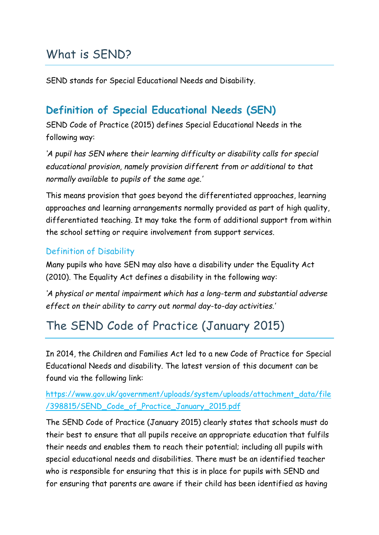## What is SEND?

SEND stands for Special Educational Needs and Disability.

#### **Definition of Special Educational Needs (SEN)**

SEND Code of Practice (2015) defines Special Educational Needs in the following way:

*'A pupil has SEN where their learning difficulty or disability calls for special educational provision, namely provision different from or additional to that normally available to pupils of the same age.'*

This means provision that goes beyond the differentiated approaches, learning approaches and learning arrangements normally provided as part of high quality, differentiated teaching. It may take the form of additional support from within the school setting or require involvement from support services.

#### Definition of Disability

Many pupils who have SEN may also have a disability under the Equality Act (2010). The Equality Act defines a disability in the following way:

*'A physical or mental impairment which has a long-term and substantial adverse effect on their ability to carry out normal day-to-day activities.'*

## The SEND Code of Practice (January 2015)

In 2014, the Children and Families Act led to a new Code of Practice for Special Educational Needs and disability. The latest version of this document can be found via the following link:

#### [https://www.gov.uk/government/uploads/system/uploads/attachment\\_data/file](https://www.gov.uk/government/uploads/system/uploads/attachment_data/file/398815/SEND_Code_of_Practice_January_2015.pdf) [/398815/SEND\\_Code\\_of\\_Practice\\_January\\_2015.pdf](https://www.gov.uk/government/uploads/system/uploads/attachment_data/file/398815/SEND_Code_of_Practice_January_2015.pdf)

The SEND Code of Practice (January 2015) clearly states that schools must do their best to ensure that all pupils receive an appropriate education that fulfils their needs and enables them to reach their potential; including all pupils with special educational needs and disabilities. There must be an identified teacher who is responsible for ensuring that this is in place for pupils with SEND and for ensuring that parents are aware if their child has been identified as having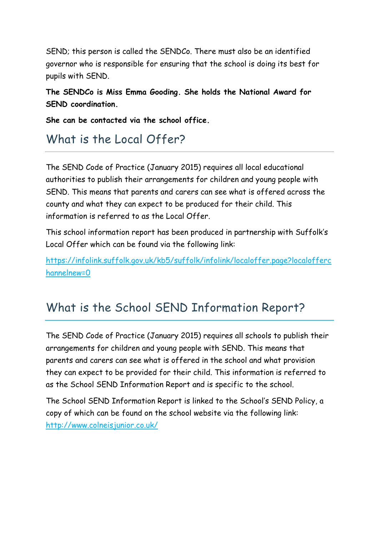SEND; this person is called the SENDCo. There must also be an identified governor who is responsible for ensuring that the school is doing its best for pupils with SEND.

**The SENDCo is Miss Emma Gooding. She holds the National Award for SEND coordination.**

**She can be contacted via the school office.**

## What is the Local Offer?

The SEND Code of Practice (January 2015) requires all local educational authorities to publish their arrangements for children and young people with SEND. This means that parents and carers can see what is offered across the county and what they can expect to be produced for their child. This information is referred to as the Local Offer.

This school information report has been produced in partnership with Suffolk's Local Offer which can be found via the following link:

[https://infolink.suffolk.gov.uk/kb5/suffolk/infolink/localoffer.page?localofferc](https://infolink.suffolk.gov.uk/kb5/suffolk/infolink/localoffer.page?localofferchannelnew=0) [hannelnew=0](https://infolink.suffolk.gov.uk/kb5/suffolk/infolink/localoffer.page?localofferchannelnew=0)

## What is the School SEND Information Report?

The SEND Code of Practice (January 2015) requires all schools to publish their arrangements for children and young people with SEND. This means that parents and carers can see what is offered in the school and what provision they can expect to be provided for their child. This information is referred to as the School SEND Information Report and is specific to the school.

The School SEND Information Report is linked to the School's SEND Policy, a copy of which can be found on the school website via the following link: <http://www.colneisjunior.co.uk/>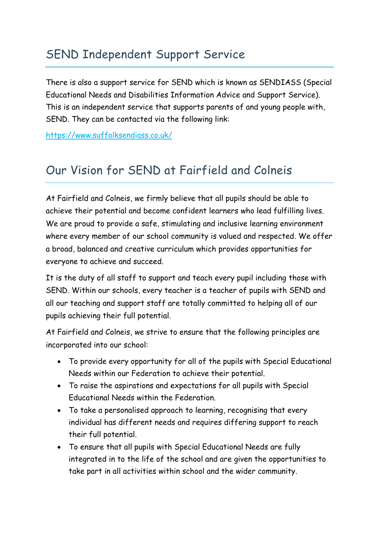## SEND Independent Support Service

There is also a support service for SEND which is known as SENDIASS (Special Educational Needs and Disabilities Information Advice and Support Service). This is an independent service that supports parents of and young people with, SEND. They can be contacted via the following link:

<https://www.suffolksendiass.co.uk/>

## Our Vision for SEND at Fairfield and Colneis

At Fairfield and Colneis, we firmly believe that all pupils should be able to achieve their potential and become confident learners who lead fulfilling lives. We are proud to provide a safe, stimulating and inclusive learning environment where every member of our school community is valued and respected. We offer a broad, balanced and creative curriculum which provides opportunities for everyone to achieve and succeed.

It is the duty of all staff to support and teach every pupil including those with SEND. Within our schools, every teacher is a teacher of pupils with SEND and all our teaching and support staff are totally committed to helping all of our pupils achieving their full potential.

At Fairfield and Colneis, we strive to ensure that the following principles are incorporated into our school:

- To provide every opportunity for all of the pupils with Special Educational Needs within our Federation to achieve their potential.
- To raise the aspirations and expectations for all pupils with Special Educational Needs within the Federation.
- To take a personalised approach to learning, recognising that every individual has different needs and requires differing support to reach their full potential.
- To ensure that all pupils with Special Educational Needs are fully integrated in to the life of the school and are given the opportunities to take part in all activities within school and the wider community.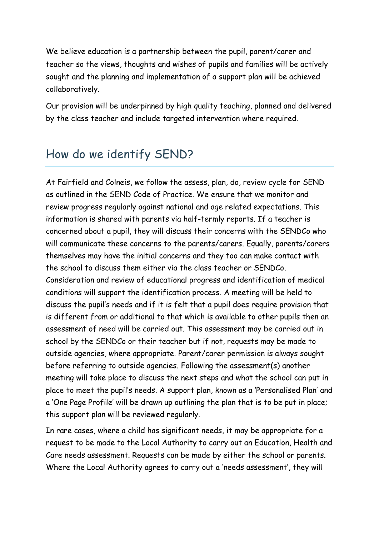We believe education is a partnership between the pupil, parent/carer and teacher so the views, thoughts and wishes of pupils and families will be actively sought and the planning and implementation of a support plan will be achieved collaboratively.

Our provision will be underpinned by high quality teaching, planned and delivered by the class teacher and include targeted intervention where required.

### How do we identify SEND?

At Fairfield and Colneis, we follow the assess, plan, do, review cycle for SEND as outlined in the SEND Code of Practice. We ensure that we monitor and review progress regularly against national and age related expectations. This information is shared with parents via half-termly reports. If a teacher is concerned about a pupil, they will discuss their concerns with the SENDCo who will communicate these concerns to the parents/carers. Equally, parents/carers themselves may have the initial concerns and they too can make contact with the school to discuss them either via the class teacher or SENDCo. Consideration and review of educational progress and identification of medical conditions will support the identification process. A meeting will be held to discuss the pupil's needs and if it is felt that a pupil does require provision that is different from or additional to that which is available to other pupils then an assessment of need will be carried out. This assessment may be carried out in school by the SENDCo or their teacher but if not, requests may be made to outside agencies, where appropriate. Parent/carer permission is always sought before referring to outside agencies. Following the assessment(s) another meeting will take place to discuss the next steps and what the school can put in place to meet the pupil's needs. A support plan, known as a 'Personalised Plan' and a 'One Page Profile' will be drawn up outlining the plan that is to be put in place; this support plan will be reviewed regularly.

In rare cases, where a child has significant needs, it may be appropriate for a request to be made to the Local Authority to carry out an Education, Health and Care needs assessment. Requests can be made by either the school or parents. Where the Local Authority agrees to carry out a 'needs assessment', they will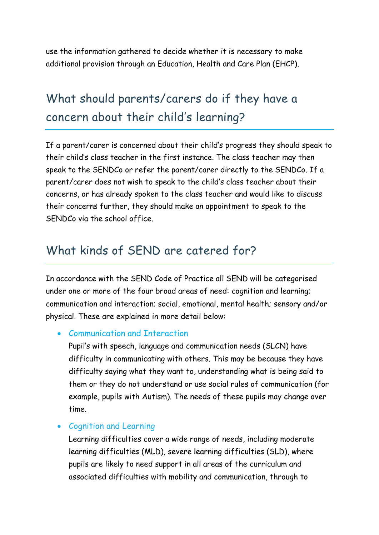use the information gathered to decide whether it is necessary to make additional provision through an Education, Health and Care Plan (EHCP).

# What should parents/carers do if they have a concern about their child's learning?

If a parent/carer is concerned about their child's progress they should speak to their child's class teacher in the first instance. The class teacher may then speak to the SENDCo or refer the parent/carer directly to the SENDCo. If a parent/carer does not wish to speak to the child's class teacher about their concerns, or has already spoken to the class teacher and would like to discuss their concerns further, they should make an appointment to speak to the SENDCo via the school office.

#### What kinds of SEND are catered for?

In accordance with the SEND Code of Practice all SEND will be categorised under one or more of the four broad areas of need: cognition and learning; communication and interaction; social, emotional, mental health; sensory and/or physical. These are explained in more detail below:

#### Communication and Interaction

Pupil's with speech, language and communication needs (SLCN) have difficulty in communicating with others. This may be because they have difficulty saying what they want to, understanding what is being said to them or they do not understand or use social rules of communication (for example, pupils with Autism). The needs of these pupils may change over time.

#### Cognition and Learning

Learning difficulties cover a wide range of needs, including moderate learning difficulties (MLD), severe learning difficulties (SLD), where pupils are likely to need support in all areas of the curriculum and associated difficulties with mobility and communication, through to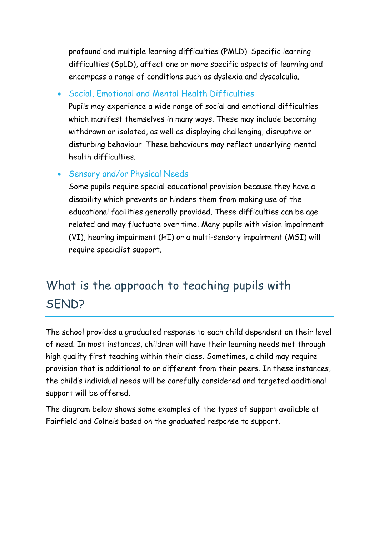profound and multiple learning difficulties (PMLD). Specific learning difficulties (SpLD), affect one or more specific aspects of learning and encompass a range of conditions such as dyslexia and dyscalculia.

Social, Emotional and Mental Health Difficulties

Pupils may experience a wide range of social and emotional difficulties which manifest themselves in many ways. These may include becoming withdrawn or isolated, as well as displaying challenging, disruptive or disturbing behaviour. These behaviours may reflect underlying mental health difficulties.

Sensory and/or Physical Needs

Some pupils require special educational provision because they have a disability which prevents or hinders them from making use of the educational facilities generally provided. These difficulties can be age related and may fluctuate over time. Many pupils with vision impairment (VI), hearing impairment (HI) or a multi-sensory impairment (MSI) will require specialist support.

# What is the approach to teaching pupils with SEND?

The school provides a graduated response to each child dependent on their level of need. In most instances, children will have their learning needs met through high quality first teaching within their class. Sometimes, a child may require provision that is additional to or different from their peers. In these instances, the child's individual needs will be carefully considered and targeted additional support will be offered.

The diagram below shows some examples of the types of support available at Fairfield and Colneis based on the graduated response to support.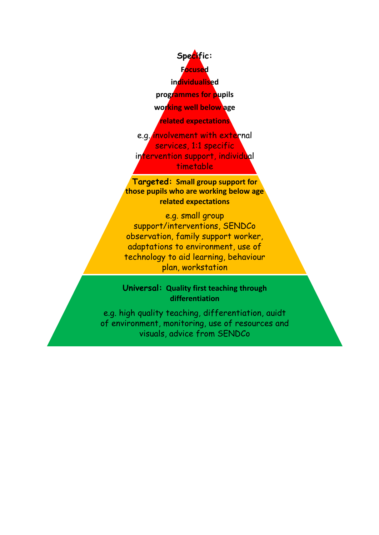

e.g. *involvement with external* services, 1:1 specific intervention support, individual timetable

**Targeted: Small group support for those pupils who are working below age related expectations**

e.g. small group support/interventions, SENDCo observation, family support worker, adaptations to environment, use of technology to aid learning, behaviour plan, workstation

**Universal: Quality first teaching through differentiation**

e.g. high quality teaching, differentiation, auidt of environment, monitoring, use of resources and visuals, advice from SENDCo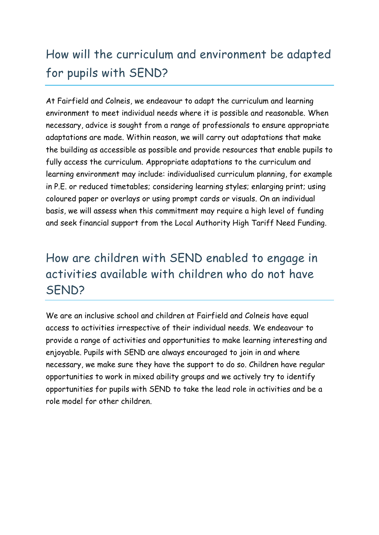# How will the curriculum and environment be adapted for pupils with SEND?

At Fairfield and Colneis, we endeavour to adapt the curriculum and learning environment to meet individual needs where it is possible and reasonable. When necessary, advice is sought from a range of professionals to ensure appropriate adaptations are made. Within reason, we will carry out adaptations that make the building as accessible as possible and provide resources that enable pupils to fully access the curriculum. Appropriate adaptations to the curriculum and learning environment may include: individualised curriculum planning, for example in P.E. or reduced timetables; considering learning styles; enlarging print; using coloured paper or overlays or using prompt cards or visuals. On an individual basis, we will assess when this commitment may require a high level of funding and seek financial support from the Local Authority High Tariff Need Funding.

## How are children with SEND enabled to engage in activities available with children who do not have SEND?

We are an inclusive school and children at Fairfield and Colneis have equal access to activities irrespective of their individual needs. We endeavour to provide a range of activities and opportunities to make learning interesting and enjoyable. Pupils with SEND are always encouraged to join in and where necessary, we make sure they have the support to do so. Children have regular opportunities to work in mixed ability groups and we actively try to identify opportunities for pupils with SEND to take the lead role in activities and be a role model for other children.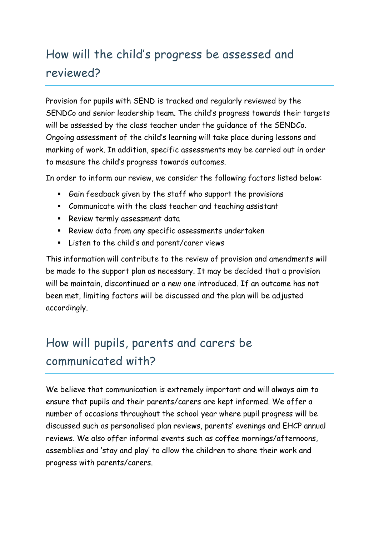# How will the child's progress be assessed and reviewed?

Provision for pupils with SEND is tracked and regularly reviewed by the SENDCo and senior leadership team. The child's progress towards their targets will be assessed by the class teacher under the guidance of the SENDCo. Ongoing assessment of the child's learning will take place during lessons and marking of work. In addition, specific assessments may be carried out in order to measure the child's progress towards outcomes.

In order to inform our review, we consider the following factors listed below:

- Gain feedback given by the staff who support the provisions
- Communicate with the class teacher and teaching assistant
- **Review termly assessment data**
- Review data from any specific assessments undertaken
- Listen to the child's and parent/carer views

This information will contribute to the review of provision and amendments will be made to the support plan as necessary. It may be decided that a provision will be maintain, discontinued or a new one introduced. If an outcome has not been met, limiting factors will be discussed and the plan will be adjusted accordingly.

# How will pupils, parents and carers be communicated with?

We believe that communication is extremely important and will always aim to ensure that pupils and their parents/carers are kept informed. We offer a number of occasions throughout the school year where pupil progress will be discussed such as personalised plan reviews, parents' evenings and EHCP annual reviews. We also offer informal events such as coffee mornings/afternoons, assemblies and 'stay and play' to allow the children to share their work and progress with parents/carers.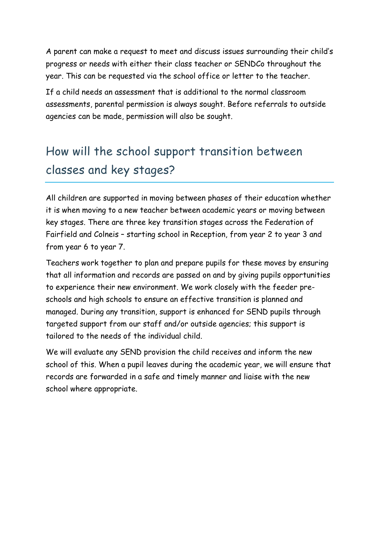A parent can make a request to meet and discuss issues surrounding their child's progress or needs with either their class teacher or SENDCo throughout the year. This can be requested via the school office or letter to the teacher.

If a child needs an assessment that is additional to the normal classroom assessments, parental permission is always sought. Before referrals to outside agencies can be made, permission will also be sought.

# How will the school support transition between classes and key stages?

All children are supported in moving between phases of their education whether it is when moving to a new teacher between academic years or moving between key stages. There are three key transition stages across the Federation of Fairfield and Colneis – starting school in Reception, from year 2 to year 3 and from year 6 to year 7.

Teachers work together to plan and prepare pupils for these moves by ensuring that all information and records are passed on and by giving pupils opportunities to experience their new environment. We work closely with the feeder preschools and high schools to ensure an effective transition is planned and managed. During any transition, support is enhanced for SEND pupils through targeted support from our staff and/or outside agencies; this support is tailored to the needs of the individual child.

We will evaluate any SEND provision the child receives and inform the new school of this. When a pupil leaves during the academic year, we will ensure that records are forwarded in a safe and timely manner and liaise with the new school where appropriate.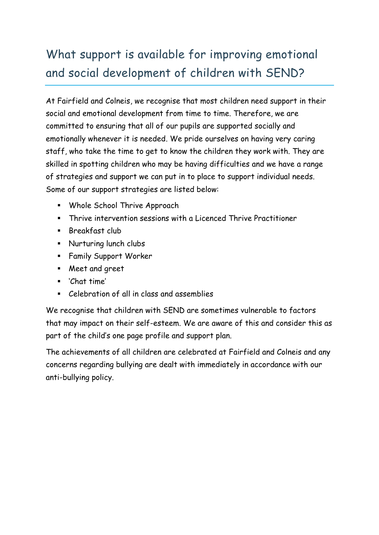# What support is available for improving emotional and social development of children with SEND?

At Fairfield and Colneis, we recognise that most children need support in their social and emotional development from time to time. Therefore, we are committed to ensuring that all of our pupils are supported socially and emotionally whenever it is needed. We pride ourselves on having very caring staff, who take the time to get to know the children they work with. They are skilled in spotting children who may be having difficulties and we have a range of strategies and support we can put in to place to support individual needs. Some of our support strategies are listed below:

- Whole School Thrive Approach
- Thrive intervention sessions with a Licenced Thrive Practitioner
- **Breakfast club**
- **Nurturing lunch clubs**
- **Family Support Worker**
- Meet and greet
- 'Chat time'
- Celebration of all in class and assemblies

We recognise that children with SEND are sometimes vulnerable to factors that may impact on their self-esteem. We are aware of this and consider this as part of the child's one page profile and support plan.

The achievements of all children are celebrated at Fairfield and Colneis and any concerns regarding bullying are dealt with immediately in accordance with our anti-bullying policy.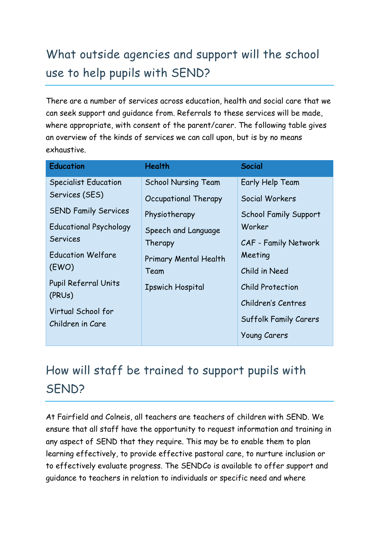# What outside agencies and support will the school use to help pupils with SEND?

There are a number of services across education, health and social care that we can seek support and guidance from. Referrals to these services will be made, where appropriate, with consent of the parent/carer. The following table gives an overview of the kinds of services we can call upon, but is by no means exhaustive.

| <b>Education</b>              | <b>Health</b>              | <b>Social</b>                |
|-------------------------------|----------------------------|------------------------------|
| <b>Specialist Education</b>   | <b>School Nursing Team</b> | Early Help Team              |
| Services (SES)                | Occupational Therapy       | Social Workers               |
| <b>SEND Family Services</b>   | Physiotherapy              | School Family Support        |
| <b>Educational Psychology</b> | Speech and Language        | Worker                       |
| <b>Services</b>               | Therapy                    | CAF - Family Network         |
| <b>Education Welfare</b>      | Primary Mental Health      | Meeting                      |
| (EWO)                         | Team                       | Child in Need                |
| Pupil Referral Units          | <b>Ipswich Hospital</b>    | <b>Child Protection</b>      |
| (PRUs)                        |                            | Children's Centres           |
| Virtual School for            |                            | <b>Suffolk Family Carers</b> |
| Children in Care              |                            |                              |
|                               |                            | <b>Young Carers</b>          |

# How will staff be trained to support pupils with SEND?

At Fairfield and Colneis, all teachers are teachers of children with SEND. We ensure that all staff have the opportunity to request information and training in any aspect of SEND that they require. This may be to enable them to plan learning effectively, to provide effective pastoral care, to nurture inclusion or to effectively evaluate progress. The SENDCo is available to offer support and guidance to teachers in relation to individuals or specific need and where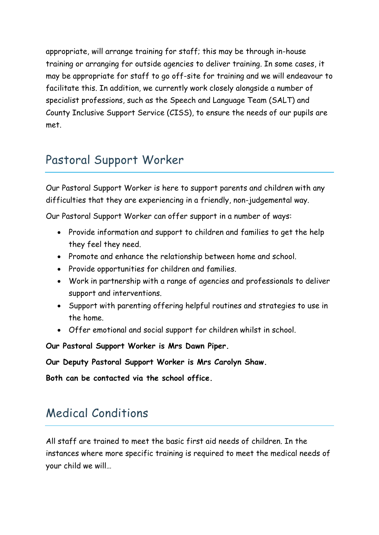appropriate, will arrange training for staff; this may be through in-house training or arranging for outside agencies to deliver training. In some cases, it may be appropriate for staff to go off-site for training and we will endeavour to facilitate this. In addition, we currently work closely alongside a number of specialist professions, such as the Speech and Language Team (SALT) and County Inclusive Support Service (CISS), to ensure the needs of our pupils are met.

## Pastoral Support Worker

Our Pastoral Support Worker is here to support parents and children with any difficulties that they are experiencing in a friendly, non-judgemental way.

Our Pastoral Support Worker can offer support in a number of ways:

- Provide information and support to children and families to get the help they feel they need.
- Promote and enhance the relationship between home and school.
- Provide opportunities for children and families.
- Work in partnership with a range of agencies and professionals to deliver support and interventions.
- Support with parenting offering helpful routines and strategies to use in the home.
- Offer emotional and social support for children whilst in school.

**Our Pastoral Support Worker is Mrs Dawn Piper.**

**Our Deputy Pastoral Support Worker is Mrs Carolyn Shaw.**

**Both can be contacted via the school office.**

## Medical Conditions

All staff are trained to meet the basic first aid needs of children. In the instances where more specific training is required to meet the medical needs of your child we will…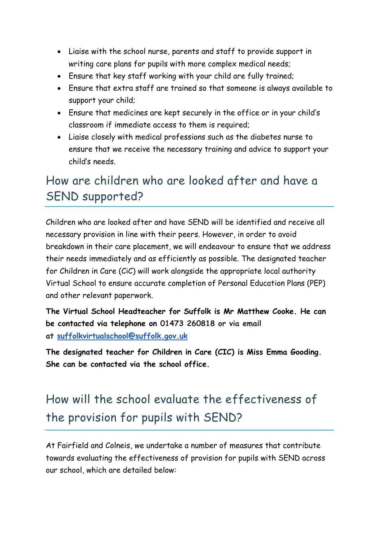- Liaise with the school nurse, parents and staff to provide support in writing care plans for pupils with more complex medical needs;
- Ensure that key staff working with your child are fully trained;
- Ensure that extra staff are trained so that someone is always available to support your child;
- Ensure that medicines are kept securely in the office or in your child's classroom if immediate access to them is required;
- Liaise closely with medical professions such as the diabetes nurse to ensure that we receive the necessary training and advice to support your child's needs.

## How are children who are looked after and have a SEND supported?

Children who are looked after and have SEND will be identified and receive all necessary provision in line with their peers. However, in order to avoid breakdown in their care placement, we will endeavour to ensure that we address their needs immediately and as efficiently as possible. The designated teacher for Children in Care (CiC) will work alongside the appropriate local authority Virtual School to ensure accurate completion of Personal Education Plans (PEP) and other relevant paperwork.

**The Virtual School Headteacher for Suffolk is Mr Matthew Cooke. He can be contacted via telephone on 01473 260818 or via email at [suffolkvirtualschool@suffolk.gov.uk](mailto:suffolkvirtualschool@suffolk.gov.uk)**

**The designated teacher for Children in Care (CIC) is Miss Emma Gooding. She can be contacted via the school office.**

# How will the school evaluate the effectiveness of the provision for pupils with SEND?

At Fairfield and Colneis, we undertake a number of measures that contribute towards evaluating the effectiveness of provision for pupils with SEND across our school, which are detailed below: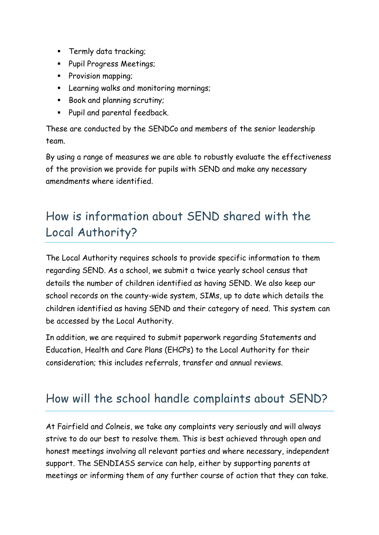- **Termly data tracking;**
- **Pupil Progress Meetings;**
- **Provision mapping;**
- **EXECTE 10 EXECTE FIGHTS IN THE EXECTE FIGHTS** Learnings;
- Book and planning scrutiny;
- **Pupil and parental feedback.**

These are conducted by the SENDCo and members of the senior leadership team.

By using a range of measures we are able to robustly evaluate the effectiveness of the provision we provide for pupils with SEND and make any necessary amendments where identified.

# How is information about SEND shared with the Local Authority?

The Local Authority requires schools to provide specific information to them regarding SEND. As a school, we submit a twice yearly school census that details the number of children identified as having SEND. We also keep our school records on the county-wide system, SIMs, up to date which details the children identified as having SEND and their category of need. This system can be accessed by the Local Authority.

In addition, we are required to submit paperwork regarding Statements and Education, Health and Care Plans (EHCPs) to the Local Authority for their consideration; this includes referrals, transfer and annual reviews.

## How will the school handle complaints about SEND?

At Fairfield and Colneis, we take any complaints very seriously and will always strive to do our best to resolve them. This is best achieved through open and honest meetings involving all relevant parties and where necessary, independent support. The SENDIASS service can help, either by supporting parents at meetings or informing them of any further course of action that they can take.